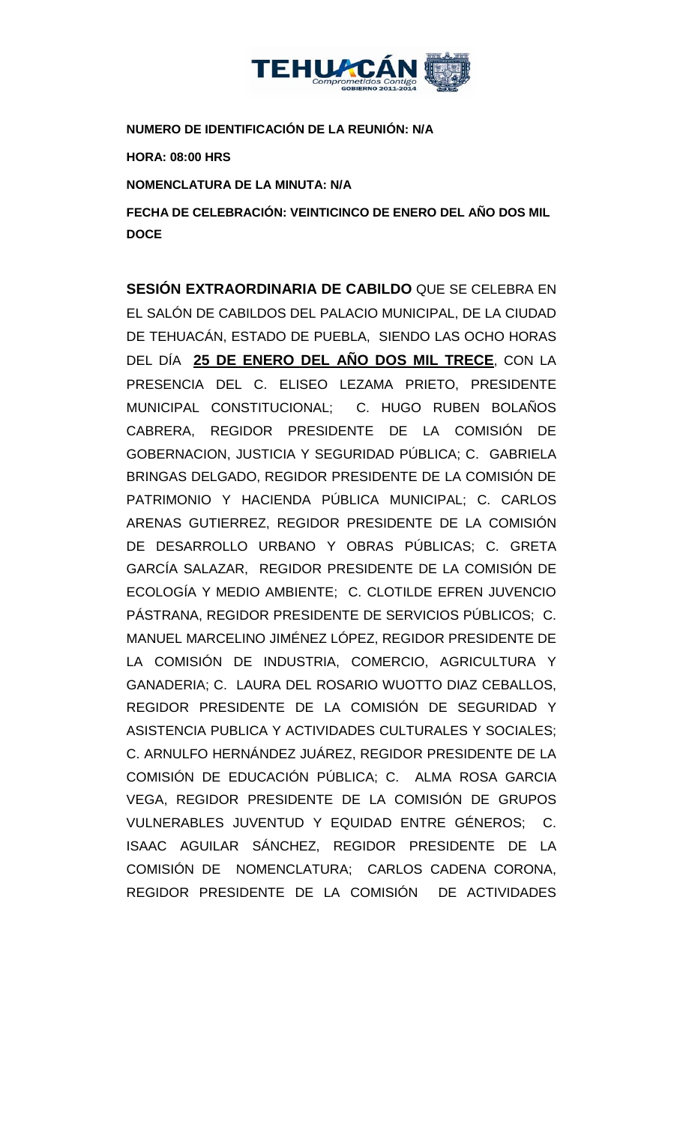

**NUMERO DE IDENTIFICACIÓN DE LA REUNIÓN: N/A**

**HORA: 08:00 HRS**

**NOMENCLATURA DE LA MINUTA: N/A**

**FECHA DE CELEBRACIÓN: VEINTICINCO DE ENERO DEL AÑO DOS MIL DOCE**

**SESIÓN EXTRAORDINARIA DE CABILDO** QUE SE CELEBRA EN EL SALÓN DE CABILDOS DEL PALACIO MUNICIPAL, DE LA CIUDAD DE TEHUACÁN, ESTADO DE PUEBLA, SIENDO LAS OCHO HORAS DEL DÍA **25 DE ENERO DEL AÑO DOS MIL TRECE**, CON LA PRESENCIA DEL C. ELISEO LEZAMA PRIETO, PRESIDENTE MUNICIPAL CONSTITUCIONAL; C. HUGO RUBEN BOLAÑOS CABRERA, REGIDOR PRESIDENTE DE LA COMISIÓN DE GOBERNACION, JUSTICIA Y SEGURIDAD PÚBLICA; C. GABRIELA BRINGAS DELGADO, REGIDOR PRESIDENTE DE LA COMISIÓN DE PATRIMONIO Y HACIENDA PÚBLICA MUNICIPAL; C. CARLOS ARENAS GUTIERREZ, REGIDOR PRESIDENTE DE LA COMISIÓN DE DESARROLLO URBANO Y OBRAS PÚBLICAS; C. GRETA GARCÍA SALAZAR, REGIDOR PRESIDENTE DE LA COMISIÓN DE ECOLOGÍA Y MEDIO AMBIENTE; C. CLOTILDE EFREN JUVENCIO PÁSTRANA, REGIDOR PRESIDENTE DE SERVICIOS PÚBLICOS; C. MANUEL MARCELINO JIMÉNEZ LÓPEZ, REGIDOR PRESIDENTE DE LA COMISIÓN DE INDUSTRIA, COMERCIO, AGRICULTURA Y GANADERIA; C. LAURA DEL ROSARIO WUOTTO DIAZ CEBALLOS, REGIDOR PRESIDENTE DE LA COMISIÓN DE SEGURIDAD Y ASISTENCIA PUBLICA Y ACTIVIDADES CULTURALES Y SOCIALES; C. ARNULFO HERNÁNDEZ JUÁREZ, REGIDOR PRESIDENTE DE LA COMISIÓN DE EDUCACIÓN PÚBLICA; C. ALMA ROSA GARCIA VEGA, REGIDOR PRESIDENTE DE LA COMISIÓN DE GRUPOS VULNERABLES JUVENTUD Y EQUIDAD ENTRE GÉNEROS; C. ISAAC AGUILAR SÁNCHEZ, REGIDOR PRESIDENTE DE LA COMISIÓN DE NOMENCLATURA; CARLOS CADENA CORONA, REGIDOR PRESIDENTE DE LA COMISIÓN DE ACTIVIDADES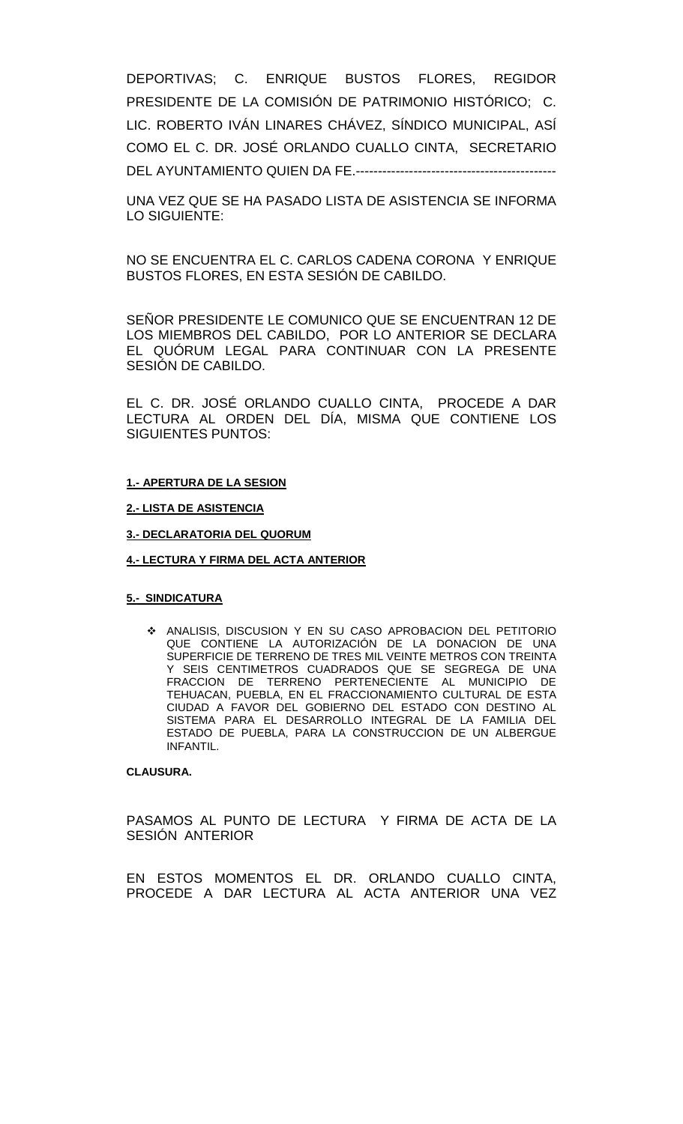DEPORTIVAS; C. ENRIQUE BUSTOS FLORES, REGIDOR PRESIDENTE DE LA COMISIÓN DE PATRIMONIO HISTÓRICO; C. LIC. ROBERTO IVÁN LINARES CHÁVEZ, SÍNDICO MUNICIPAL, ASÍ COMO EL C. DR. JOSÉ ORLANDO CUALLO CINTA, SECRETARIO DEL AYUNTAMIENTO QUIEN DA FE.---------------------------------------------

UNA VEZ QUE SE HA PASADO LISTA DE ASISTENCIA SE INFORMA LO SIGUIENTE:

NO SE ENCUENTRA EL C. CARLOS CADENA CORONA Y ENRIQUE BUSTOS FLORES, EN ESTA SESIÓN DE CABILDO.

SEÑOR PRESIDENTE LE COMUNICO QUE SE ENCUENTRAN 12 DE LOS MIEMBROS DEL CABILDO, POR LO ANTERIOR SE DECLARA EL QUÓRUM LEGAL PARA CONTINUAR CON LA PRESENTE SESIÓN DE CABILDO.

EL C. DR. JOSÉ ORLANDO CUALLO CINTA, PROCEDE A DAR LECTURA AL ORDEN DEL DÍA, MISMA QUE CONTIENE LOS SIGUIENTES PUNTOS:

#### **1.- APERTURA DE LA SESION**

**2.- LISTA DE ASISTENCIA**

**3.- DECLARATORIA DEL QUORUM**

#### **4.- LECTURA Y FIRMA DEL ACTA ANTERIOR**

#### **5.- SINDICATURA**

 ANALISIS, DISCUSION Y EN SU CASO APROBACION DEL PETITORIO QUE CONTIENE LA AUTORIZACIÓN DE LA DONACION DE UNA SUPERFICIE DE TERRENO DE TRES MIL VEINTE METROS CON TREINTA Y SEIS CENTIMETROS CUADRADOS QUE SE SEGREGA DE UNA FRACCION DE TERRENO PERTENECIENTE AL MUNICIPIO DE TEHUACAN, PUEBLA, EN EL FRACCIONAMIENTO CULTURAL DE ESTA CIUDAD A FAVOR DEL GOBIERNO DEL ESTADO CON DESTINO AL SISTEMA PARA EL DESARROLLO INTEGRAL DE LA FAMILIA DEL ESTADO DE PUEBLA, PARA LA CONSTRUCCION DE UN ALBERGUE INFANTIL.

### **CLAUSURA.**

PASAMOS AL PUNTO DE LECTURA Y FIRMA DE ACTA DE LA SESIÓN ANTERIOR

EN ESTOS MOMENTOS EL DR. ORLANDO CUALLO CINTA, PROCEDE A DAR LECTURA AL ACTA ANTERIOR UNA VEZ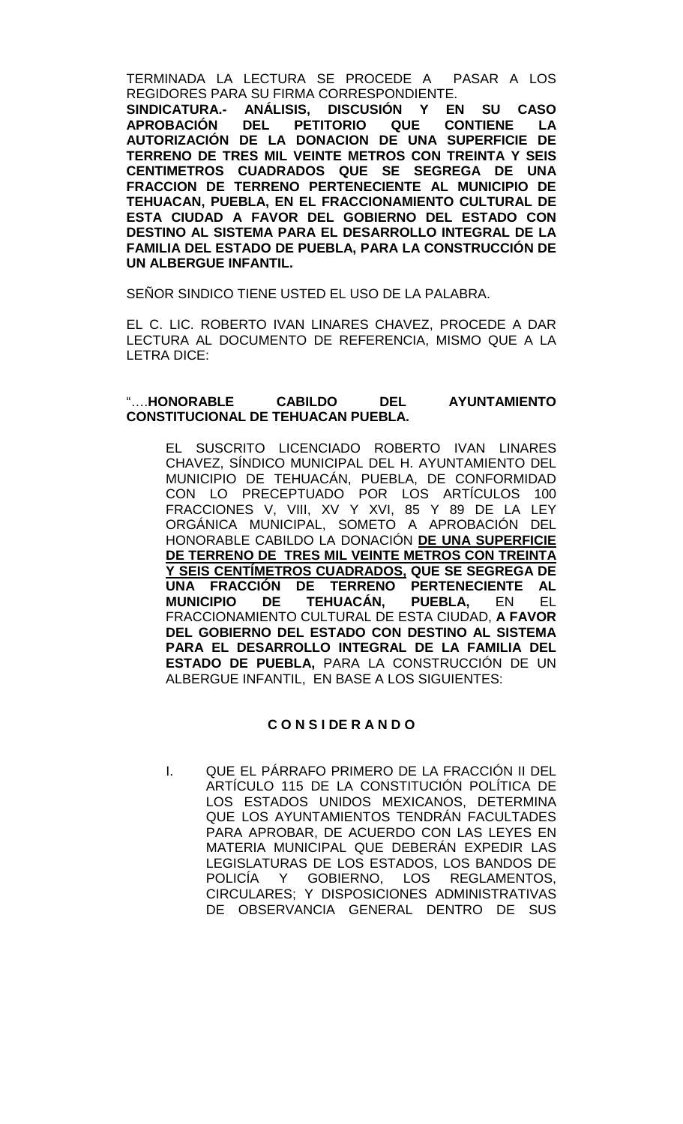TERMINADA LA LECTURA SE PROCEDE A PASAR A LOS REGIDORES PARA SU FIRMA CORRESPONDIENTE.

**SINDICATURA.- ANÁLISIS, DISCUSIÓN Y EN SU CASO APROBACIÓN DEL PETITORIO QUE CONTIENE LA AUTORIZACIÓN DE LA DONACION DE UNA SUPERFICIE DE TERRENO DE TRES MIL VEINTE METROS CON TREINTA Y SEIS CENTIMETROS CUADRADOS QUE SE SEGREGA DE UNA FRACCION DE TERRENO PERTENECIENTE AL MUNICIPIO DE TEHUACAN, PUEBLA, EN EL FRACCIONAMIENTO CULTURAL DE ESTA CIUDAD A FAVOR DEL GOBIERNO DEL ESTADO CON DESTINO AL SISTEMA PARA EL DESARROLLO INTEGRAL DE LA FAMILIA DEL ESTADO DE PUEBLA, PARA LA CONSTRUCCIÓN DE UN ALBERGUE INFANTIL.**

SEÑOR SINDICO TIENE USTED EL USO DE LA PALABRA.

EL C. LIC. ROBERTO IVAN LINARES CHAVEZ, PROCEDE A DAR LECTURA AL DOCUMENTO DE REFERENCIA, MISMO QUE A LA LETRA DICE:

## "….**HONORABLE CABILDO DEL AYUNTAMIENTO CONSTITUCIONAL DE TEHUACAN PUEBLA.**

EL SUSCRITO LICENCIADO ROBERTO IVAN LINARES CHAVEZ, SÍNDICO MUNICIPAL DEL H. AYUNTAMIENTO DEL MUNICIPIO DE TEHUACÁN, PUEBLA, DE CONFORMIDAD CON LO PRECEPTUADO POR LOS ARTÍCULOS 100 FRACCIONES V, VIII, XV Y XVI, 85 Y 89 DE LA LEY ORGÁNICA MUNICIPAL, SOMETO A APROBACIÓN DEL HONORABLE CABILDO LA DONACIÓN **DE UNA SUPERFICIE DE TERRENO DE TRES MIL VEINTE METROS CON TREINTA Y SEIS CENTÍMETROS CUADRADOS, QUE SE SEGREGA DE UNA FRACCIÓN DE TERRENO PERTENECIENTE AL MUNICIPIO DE TEHUACÁN, PUEBLA,** EN EL FRACCIONAMIENTO CULTURAL DE ESTA CIUDAD, **A FAVOR DEL GOBIERNO DEL ESTADO CON DESTINO AL SISTEMA PARA EL DESARROLLO INTEGRAL DE LA FAMILIA DEL ESTADO DE PUEBLA,** PARA LA CONSTRUCCIÓN DE UN ALBERGUE INFANTIL, EN BASE A LOS SIGUIENTES:

## **C O N S I DE R A N D O**

I. QUE EL PÁRRAFO PRIMERO DE LA FRACCIÓN II DEL ARTÍCULO 115 DE LA CONSTITUCIÓN POLÍTICA DE LOS ESTADOS UNIDOS MEXICANOS, DETERMINA QUE LOS AYUNTAMIENTOS TENDRÁN FACULTADES PARA APROBAR, DE ACUERDO CON LAS LEYES EN MATERIA MUNICIPAL QUE DEBERÁN EXPEDIR LAS LEGISLATURAS DE LOS ESTADOS, LOS BANDOS DE POLICÍA Y GOBIERNO, LOS REGLAMENTOS, CIRCULARES; Y DISPOSICIONES ADMINISTRATIVAS DE OBSERVANCIA GENERAL DENTRO DE SUS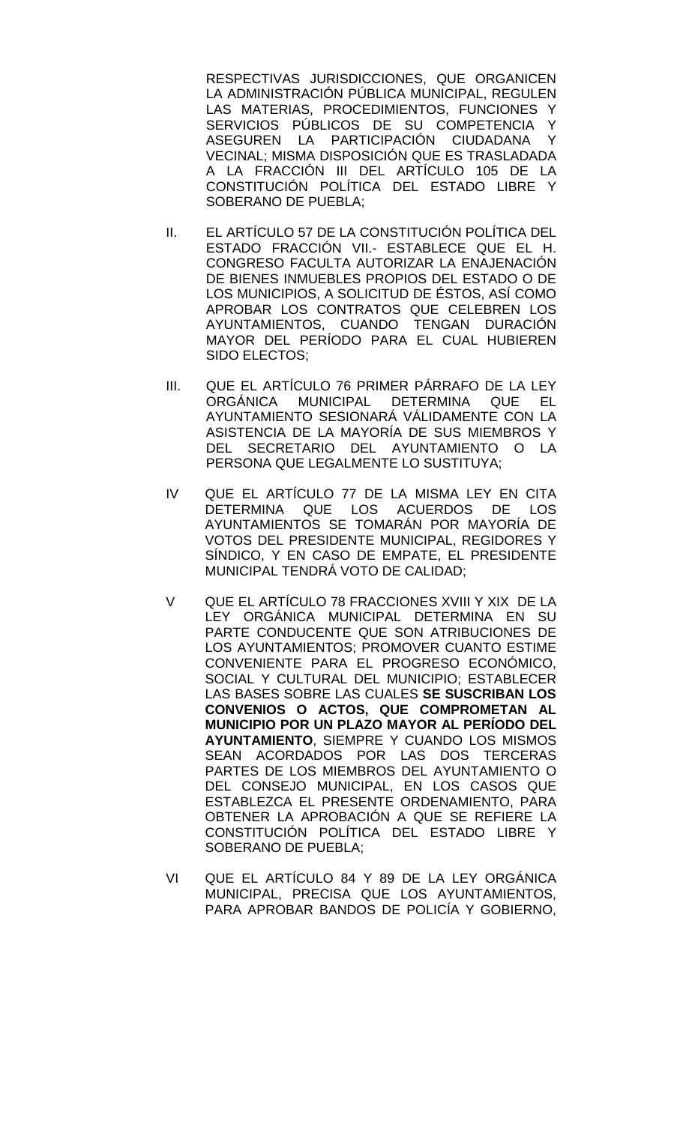RESPECTIVAS JURISDICCIONES, QUE ORGANICEN LA ADMINISTRACIÓN PÚBLICA MUNICIPAL, REGULEN LAS MATERIAS, PROCEDIMIENTOS, FUNCIONES Y SERVICIOS PÚBLICOS DE SU COMPETENCIA Y<br>ASEGUREN LA PARTICIPACIÓN CIUDADANA Y ASEGUREN LA PARTICIPACIÓN CIUDADANA VECINAL; MISMA DISPOSICIÓN QUE ES TRASLADADA A LA FRACCIÓN III DEL ARTÍCULO 105 DE LA CONSTITUCIÓN POLÍTICA DEL ESTADO LIBRE Y SOBERANO DE PUEBLA;

- II. EL ARTÍCULO 57 DE LA CONSTITUCIÓN POLÍTICA DEL ESTADO FRACCIÓN VII.- ESTABLECE QUE EL H. CONGRESO FACULTA AUTORIZAR LA ENAJENACIÓN DE BIENES INMUEBLES PROPIOS DEL ESTADO O DE LOS MUNICIPIOS, A SOLICITUD DE ÉSTOS, ASÍ COMO APROBAR LOS CONTRATOS QUE CELEBREN LOS AYUNTAMIENTOS, CUANDO TENGAN DURACIÓN MAYOR DEL PERÍODO PARA EL CUAL HUBIEREN SIDO ELECTOS;
- III. QUE EL ARTÍCULO 76 PRIMER PÁRRAFO DE LA LEY ORGÁNICA MUNICIPAL DETERMINA QUE EL AYUNTAMIENTO SESIONARÁ VÁLIDAMENTE CON LA ASISTENCIA DE LA MAYORÍA DE SUS MIEMBROS Y DEL SECRETARIO DEL AYUNTAMIENTO O LA PERSONA QUE LEGALMENTE LO SUSTITUYA;
- IV QUE EL ARTÍCULO 77 DE LA MISMA LEY EN CITA DETERMINA QUE LOS ACUERDOS DE LOS AYUNTAMIENTOS SE TOMARÁN POR MAYORÍA DE VOTOS DEL PRESIDENTE MUNICIPAL, REGIDORES Y SÍNDICO, Y EN CASO DE EMPATE, EL PRESIDENTE MUNICIPAL TENDRÁ VOTO DE CALIDAD;
- V QUE EL ARTÍCULO 78 FRACCIONES XVIII Y XIX DE LA LEY ORGÁNICA MUNICIPAL DETERMINA EN SU PARTE CONDUCENTE QUE SON ATRIBUCIONES DE LOS AYUNTAMIENTOS; PROMOVER CUANTO ESTIME CONVENIENTE PARA EL PROGRESO ECONÓMICO, SOCIAL Y CULTURAL DEL MUNICIPIO; ESTABLECER LAS BASES SOBRE LAS CUALES **SE SUSCRIBAN LOS CONVENIOS O ACTOS, QUE COMPROMETAN AL MUNICIPIO POR UN PLAZO MAYOR AL PERÍODO DEL AYUNTAMIENTO**, SIEMPRE Y CUANDO LOS MISMOS SEAN ACORDADOS POR LAS DOS TERCERAS PARTES DE LOS MIEMBROS DEL AYUNTAMIENTO O DEL CONSEJO MUNICIPAL, EN LOS CASOS QUE ESTABLEZCA EL PRESENTE ORDENAMIENTO, PARA OBTENER LA APROBACIÓN A QUE SE REFIERE LA CONSTITUCIÓN POLÍTICA DEL ESTADO LIBRE Y SOBERANO DE PUEBLA;
- VI QUE EL ARTÍCULO 84 Y 89 DE LA LEY ORGÁNICA MUNICIPAL, PRECISA QUE LOS AYUNTAMIENTOS, PARA APROBAR BANDOS DE POLICÍA Y GOBIERNO,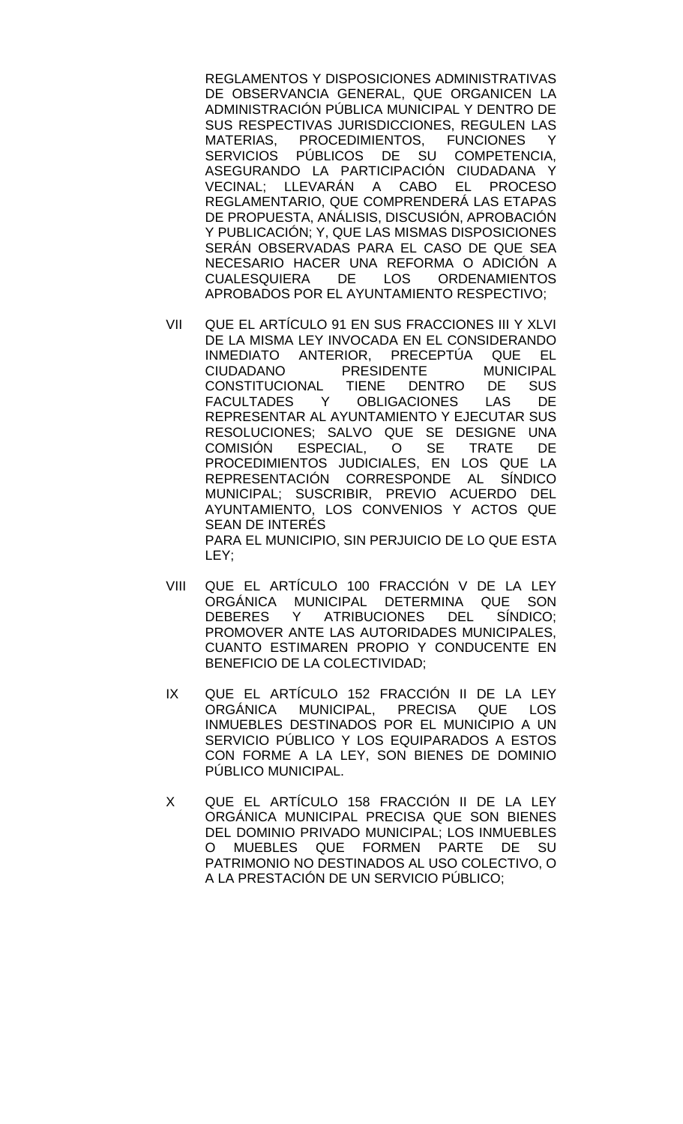REGLAMENTOS Y DISPOSICIONES ADMINISTRATIVAS DE OBSERVANCIA GENERAL, QUE ORGANICEN LA ADMINISTRACIÓN PÚBLICA MUNICIPAL Y DENTRO DE SUS RESPECTIVAS JURISDICCIONES, REGULEN LAS MATERIAS, PROCEDIMIENTOS, FUNCIONES Y SERVICIOS PÚBLICOS DE SU COMPETENCIA, ASEGURANDO LA PARTICIPACIÓN CIUDADANA Y VECINAL; LLEVARÁN A CABO EL PROCESO REGLAMENTARIO, QUE COMPRENDERÁ LAS ETAPAS DE PROPUESTA, ANÁLISIS, DISCUSIÓN, APROBACIÓN Y PUBLICACIÓN; Y, QUE LAS MISMAS DISPOSICIONES SERÁN OBSERVADAS PARA EL CASO DE QUE SEA NECESARIO HACER UNA REFORMA O ADICIÓN A **ORDENAMIENTOS** APROBADOS POR EL AYUNTAMIENTO RESPECTIVO;

- VII QUE EL ARTÍCULO 91 EN SUS FRACCIONES III Y XLVI DE LA MISMA LEY INVOCADA EN EL CONSIDERANDO INMEDIATO ANTERIOR, PRECEPTÚA QUE EL CIUDADANO PRESIDENTE MUNICIPAL CONSTITUCIONAL TIENE DENTRO DE SUS FACULTADES Y OBLIGACIONES LAS DE REPRESENTAR AL AYUNTAMIENTO Y EJECUTAR SUS RESOLUCIONES; SALVO QUE SE DESIGNE UNA COMISIÓN ESPECIAL, O SE TRATE DE PROCEDIMIENTOS JUDICIALES, EN LOS QUE LA REPRESENTACIÓN CORRESPONDE AL SÍNDICO MUNICIPAL; SUSCRIBIR, PREVIO ACUERDO DEL AYUNTAMIENTO, LOS CONVENIOS Y ACTOS QUE SEAN DE INTERÉS PARA EL MUNICIPIO, SIN PERJUICIO DE LO QUE ESTA LEY;
- VIII QUE EL ARTÍCULO 100 FRACCIÓN V DE LA LEY ORGÁNICA MUNICIPAL DETERMINA QUE SON DEBERES Y ATRIBUCIONES DEL SÍNDICO; PROMOVER ANTE LAS AUTORIDADES MUNICIPALES, CUANTO ESTIMAREN PROPIO Y CONDUCENTE EN BENEFICIO DE LA COLECTIVIDAD;
- IX QUE EL ARTÍCULO 152 FRACCIÓN II DE LA LEY MUNICIPAL, PRECISA QUE LOS INMUEBLES DESTINADOS POR EL MUNICIPIO A UN SERVICIO PÚBLICO Y LOS EQUIPARADOS A ESTOS CON FORME A LA LEY, SON BIENES DE DOMINIO PÚBLICO MUNICIPAL.
- X QUE EL ARTÍCULO 158 FRACCIÓN II DE LA LEY ORGÁNICA MUNICIPAL PRECISA QUE SON BIENES DEL DOMINIO PRIVADO MUNICIPAL; LOS INMUEBLES<br>O MUEBLES QUE FORMEN PARTE DE SU MUEBLES QUE FORMEN PARTE DE SU PATRIMONIO NO DESTINADOS AL USO COLECTIVO, O A LA PRESTACIÓN DE UN SERVICIO PÚBLICO;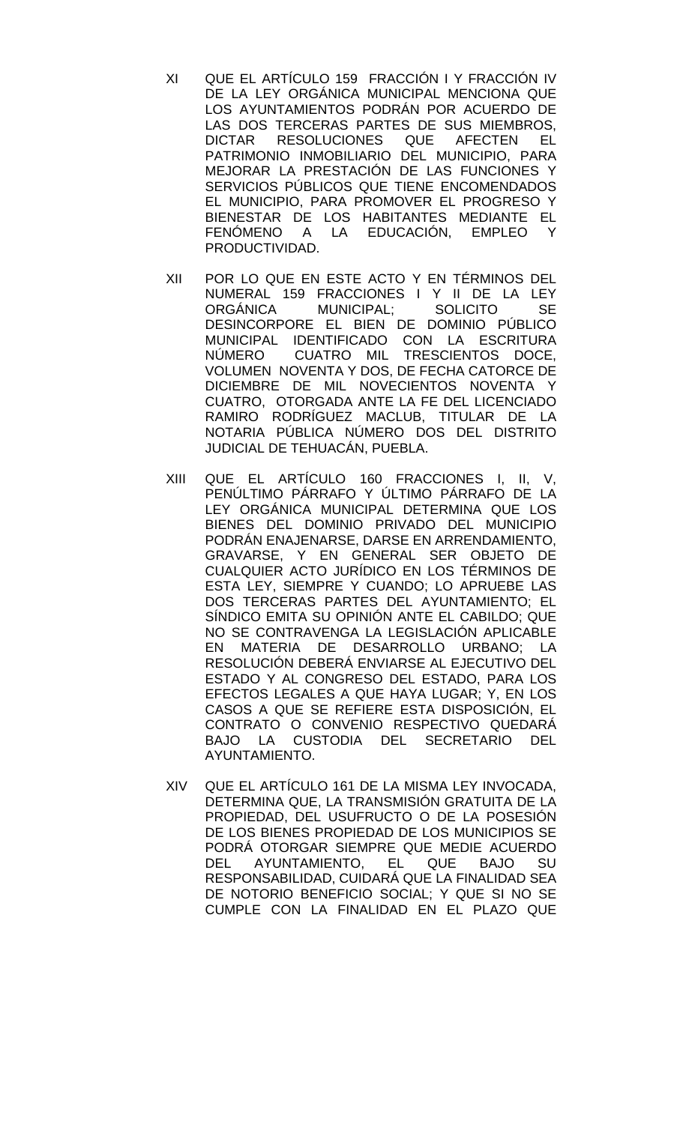- XI QUE EL ARTÍCULO 159 FRACCIÓN I Y FRACCIÓN IV DE LA LEY ORGÁNICA MUNICIPAL MENCIONA QUE LOS AYUNTAMIENTOS PODRÁN POR ACUERDO DE LAS DOS TERCERAS PARTES DE SUS MIEMBROS,<br>DICTAR RESOLUCIONES QUE AFECTEN EL RESOLUCIONES QUE AFECTEN EL PATRIMONIO INMOBILIARIO DEL MUNICIPIO, PARA MEJORAR LA PRESTACIÓN DE LAS FUNCIONES Y SERVICIOS PÚBLICOS QUE TIENE ENCOMENDADOS EL MUNICIPIO, PARA PROMOVER EL PROGRESO Y BIENESTAR DE LOS HABITANTES MEDIANTE EL FENÓMENO A LA EDUCACIÓN, EMPLEO Y PRODUCTIVIDAD.
- XII POR LO QUE EN ESTE ACTO Y EN TÉRMINOS DEL NUMERAL 159 FRACCIONES I Y II DE LA LEY ORGÁNICA MUNICIPAL; SOLICITO SE DESINCORPORE EL BIEN DE DOMINIO PÚBLICO MUNICIPAL IDENTIFICADO CON LA ESCRITURA NÚMERO CUATRO MIL TRESCIENTOS DOCE, VOLUMEN NOVENTA Y DOS, DE FECHA CATORCE DE DICIEMBRE DE MIL NOVECIENTOS NOVENTA Y CUATRO, OTORGADA ANTE LA FE DEL LICENCIADO RAMIRO RODRÍGUEZ MACLUB, TITULAR DE LA NOTARIA PÚBLICA NÚMERO DOS DEL DISTRITO JUDICIAL DE TEHUACÁN, PUEBLA.
- XIII QUE EL ARTÍCULO 160 FRACCIONES I, II, V, PENÚLTIMO PÁRRAFO Y ÚLTIMO PÁRRAFO DE LA LEY ORGÁNICA MUNICIPAL DETERMINA QUE LOS BIENES DEL DOMINIO PRIVADO DEL MUNICIPIO PODRÁN ENAJENARSE, DARSE EN ARRENDAMIENTO, GRAVARSE, Y EN GENERAL SER OBJETO DE CUALQUIER ACTO JURÍDICO EN LOS TÉRMINOS DE ESTA LEY, SIEMPRE Y CUANDO; LO APRUEBE LAS DOS TERCERAS PARTES DEL AYUNTAMIENTO; EL SÍNDICO EMITA SU OPINIÓN ANTE EL CABILDO; QUE NO SE CONTRAVENGA LA LEGISLACIÓN APLICABLE EN MATERIA DE DESARROLLO URBANO; LA RESOLUCIÓN DEBERÁ ENVIARSE AL EJECUTIVO DEL ESTADO Y AL CONGRESO DEL ESTADO, PARA LOS EFECTOS LEGALES A QUE HAYA LUGAR; Y, EN LOS CASOS A QUE SE REFIERE ESTA DISPOSICIÓN, EL CONTRATO O CONVENIO RESPECTIVO QUEDARÁ BAJO LA CUSTODIA DEL SECRETARIO DEL AYUNTAMIENTO.
- XIV QUE EL ARTÍCULO 161 DE LA MISMA LEY INVOCADA, DETERMINA QUE, LA TRANSMISIÓN GRATUITA DE LA PROPIEDAD, DEL USUFRUCTO O DE LA POSESIÓN DE LOS BIENES PROPIEDAD DE LOS MUNICIPIOS SE PODRÁ OTORGAR SIEMPRE QUE MEDIE ACUERDO DEL AYUNTAMIENTO, EL QUE BAJO SU RESPONSABILIDAD, CUIDARÁ QUE LA FINALIDAD SEA DE NOTORIO BENEFICIO SOCIAL; Y QUE SI NO SE CUMPLE CON LA FINALIDAD EN EL PLAZO QUE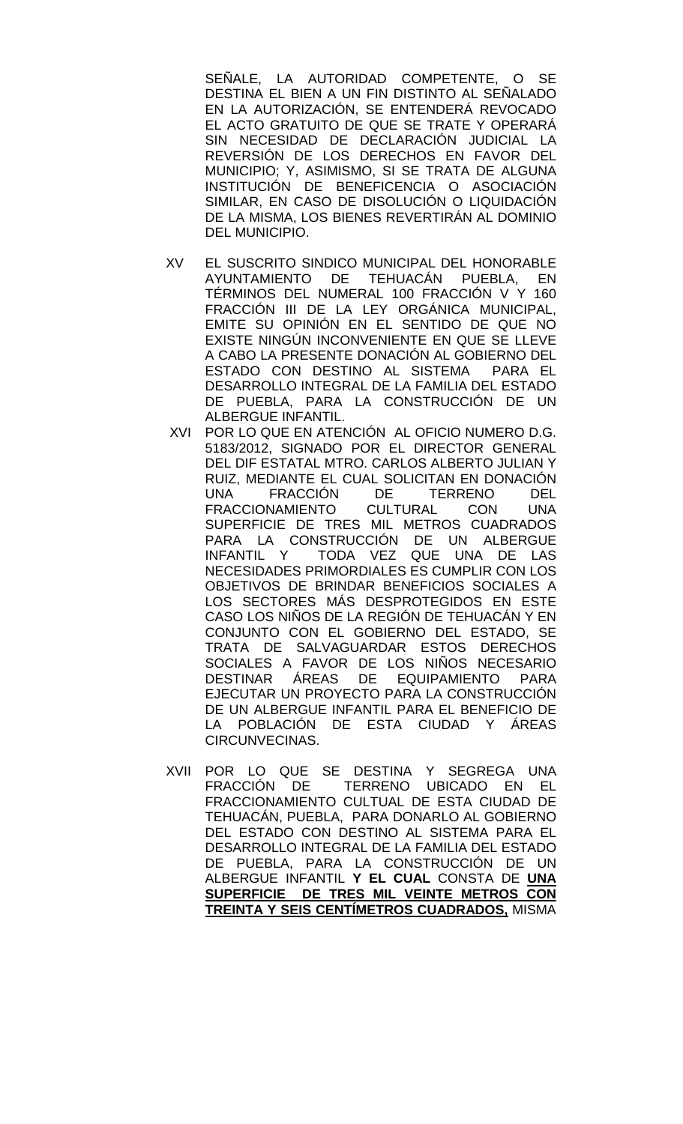SEÑALE, LA AUTORIDAD COMPETENTE, O SE DESTINA EL BIEN A UN FIN DISTINTO AL SEÑALADO EN LA AUTORIZACIÓN, SE ENTENDERÁ REVOCADO EL ACTO GRATUITO DE QUE SE TRATE Y OPERARÁ SIN NECESIDAD DE DECLARACIÓN JUDICIAL LA REVERSIÓN DE LOS DERECHOS EN FAVOR DEL MUNICIPIO; Y, ASIMISMO, SI SE TRATA DE ALGUNA INSTITUCIÓN DE BENEFICENCIA O ASOCIACIÓN SIMILAR, EN CASO DE DISOLUCIÓN O LIQUIDACIÓN DE LA MISMA, LOS BIENES REVERTIRÁN AL DOMINIO DEL MUNICIPIO.

- XV EL SUSCRITO SINDICO MUNICIPAL DEL HONORABLE AYUNTAMIENTO DE TEHUACÁN PUEBLA, EN TÉRMINOS DEL NUMERAL 100 FRACCIÓN V Y 160 FRACCIÓN III DE LA LEY ORGÁNICA MUNICIPAL, EMITE SU OPINIÓN EN EL SENTIDO DE QUE NO EXISTE NINGÚN INCONVENIENTE EN QUE SE LLEVE A CABO LA PRESENTE DONACIÓN AL GOBIERNO DEL ESTADO CON DESTINO AL SISTEMA PARA EL DESARROLLO INTEGRAL DE LA FAMILIA DEL ESTADO DE PUEBLA, PARA LA CONSTRUCCIÓN DE UN ALBERGUE INFANTIL.
- XVI POR LO QUE EN ATENCIÓN AL OFICIO NUMERO D.G. 5183/2012, SIGNADO POR EL DIRECTOR GENERAL DEL DIF ESTATAL MTRO. CARLOS ALBERTO JULIAN Y RUIZ, MEDIANTE EL CUAL SOLICITAN EN DONACIÓN UNA FRACCIÓN DE TERRENO DEL FRACCIONAMIENTO CULTURAL CON UNA SUPERFICIE DE TRES MIL METROS CUADRADOS PARA LA CONSTRUCCIÓN DE UN ALBERGUE INFANTIL Y TODA VEZ QUE UNA DE LAS NECESIDADES PRIMORDIALES ES CUMPLIR CON LOS OBJETIVOS DE BRINDAR BENEFICIOS SOCIALES A LOS SECTORES MÁS DESPROTEGIDOS EN ESTE CASO LOS NIÑOS DE LA REGIÓN DE TEHUACÁN Y EN CONJUNTO CON EL GOBIERNO DEL ESTADO, SE TRATA DE SALVAGUARDAR ESTOS DERECHOS SOCIALES A FAVOR DE LOS NIÑOS NECESARIO DESTINAR ÁREAS DE EQUIPAMIENTO PARA EJECUTAR UN PROYECTO PARA LA CONSTRUCCIÓN DE UN ALBERGUE INFANTIL PARA EL BENEFICIO DE LA POBLACIÓN DE ESTA CIUDAD Y ÁREAS CIRCUNVECINAS.
- XVII POR LO QUE SE DESTINA Y SEGREGA UNA FRACCIÓN DE TERRENO UBICADO EN EL FRACCIONAMIENTO CULTUAL DE ESTA CIUDAD DE TEHUACÁN, PUEBLA, PARA DONARLO AL GOBIERNO DEL ESTADO CON DESTINO AL SISTEMA PARA EL DESARROLLO INTEGRAL DE LA FAMILIA DEL ESTADO DE PUEBLA, PARA LA CONSTRUCCIÓN DE UN ALBERGUE INFANTIL **Y EL CUAL** CONSTA DE **UNA SUPERFICIE DE TRES MIL VEINTE METROS CON TREINTA Y SEIS CENTÍMETROS CUADRADOS,** MISMA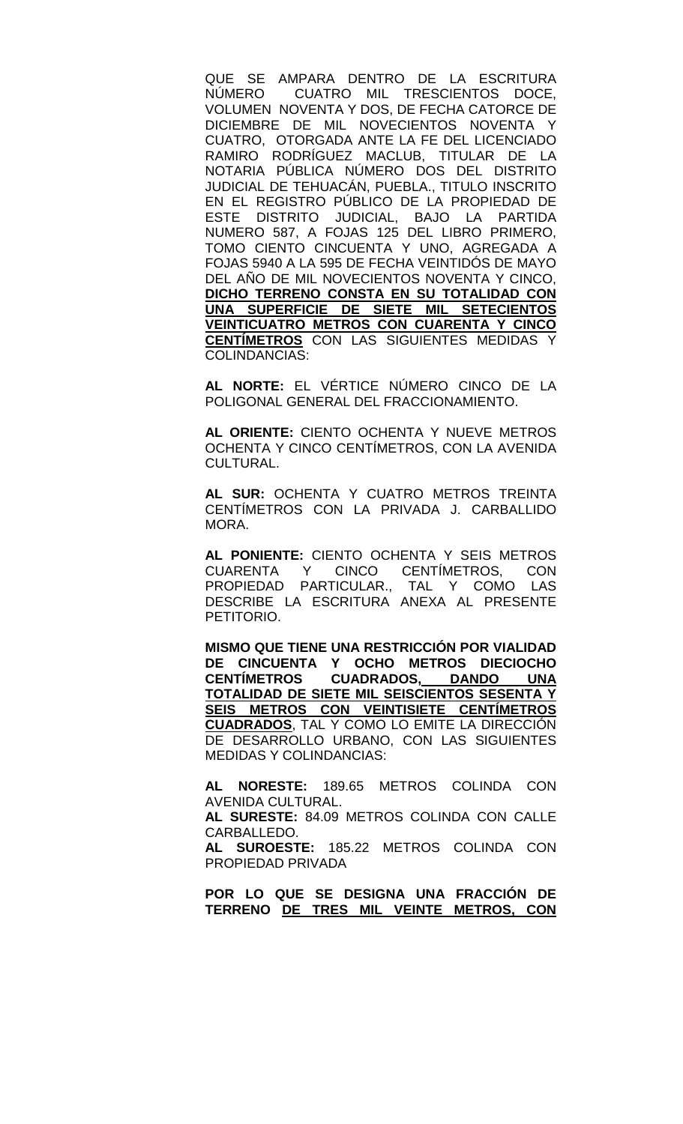QUE SE AMPARA DENTRO DE LA ESCRITURA NÚMERO CUATRO MIL TRESCIENTOS DOCE, VOLUMEN NOVENTA Y DOS, DE FECHA CATORCE DE DICIEMBRE DE MIL NOVECIENTOS NOVENTA Y CUATRO, OTORGADA ANTE LA FE DEL LICENCIADO RAMIRO RODRÍGUEZ MACLUB, TITULAR DE LA NOTARIA PÚBLICA NÚMERO DOS DEL DISTRITO JUDICIAL DE TEHUACÁN, PUEBLA., TITULO INSCRITO EN EL REGISTRO PÚBLICO DE LA PROPIEDAD DE ESTE DISTRITO JUDICIAL, BAJO LA PARTIDA NUMERO 587, A FOJAS 125 DEL LIBRO PRIMERO, TOMO CIENTO CINCUENTA Y UNO, AGREGADA A FOJAS 5940 A LA 595 DE FECHA VEINTIDÓS DE MAYO DEL AÑO DE MIL NOVECIENTOS NOVENTA Y CINCO, **DICHO TERRENO CONSTA EN SU TOTALIDAD CON UNA SUPERFICIE DE SIETE MIL SETECIENTOS VEINTICUATRO METROS CON CUARENTA Y CINCO CENTÍMETROS** CON LAS SIGUIENTES MEDIDAS Y COLINDANCIAS:

**AL NORTE:** EL VÉRTICE NÚMERO CINCO DE LA POLIGONAL GENERAL DEL FRACCIONAMIENTO.

**AL ORIENTE:** CIENTO OCHENTA Y NUEVE METROS OCHENTA Y CINCO CENTÍMETROS, CON LA AVENIDA CULTURAL.

**AL SUR:** OCHENTA Y CUATRO METROS TREINTA CENTÍMETROS CON LA PRIVADA J. CARBALLIDO MORA.

**AL PONIENTE:** CIENTO OCHENTA Y SEIS METROS CENTÍMETROS, CON<br>TAL Y COMO LAS PROPIEDAD PARTICULAR., DESCRIBE LA ESCRITURA ANEXA AL PRESENTE PETITORIO.

**MISMO QUE TIENE UNA RESTRICCIÓN POR VIALIDAD DE CINCUENTA Y OCHO METROS DIECIOCHO CENTÍMETROS CUADRADOS, DANDO UNA TOTALIDAD DE SIETE MIL SEISCIENTOS SESENTA Y SEIS METROS CON VEINTISIETE CENTÍMETROS CUADRADOS**, TAL Y COMO LO EMITE LA DIRECCIÓN DE DESARROLLO URBANO, CON LAS SIGUIENTES MEDIDAS Y COLINDANCIAS:

**AL NORESTE:** 189.65 METROS COLINDA CON AVENIDA CULTURAL.

**AL SURESTE:** 84.09 METROS COLINDA CON CALLE CARBALLEDO.

**AL SUROESTE:** 185.22 METROS COLINDA CON PROPIEDAD PRIVADA

**POR LO QUE SE DESIGNA UNA FRACCIÓN DE TERRENO DE TRES MIL VEINTE METROS, CON**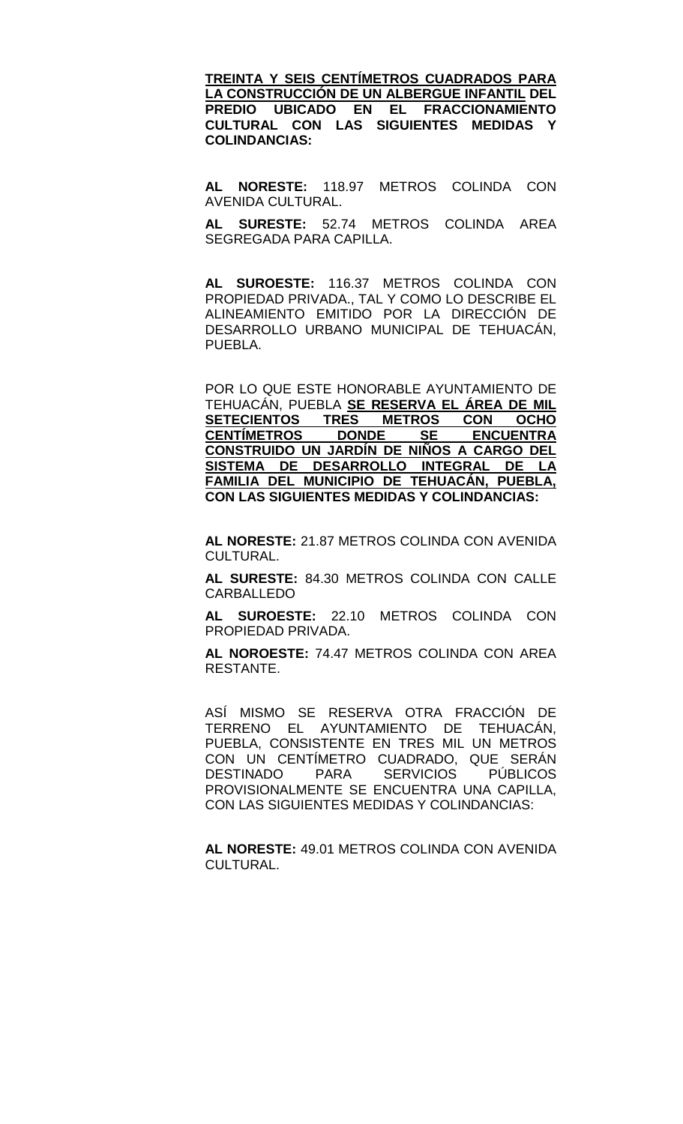**TREINTA Y SEIS CENTÍMETROS CUADRADOS PARA LA CONSTRUCCIÓN DE UN ALBERGUE INFANTIL DEL PREDIO UBICADO EN EL FRACCIONAMIENTO CULTURAL CON LAS SIGUIENTES MEDIDAS Y COLINDANCIAS:**

**AL NORESTE:** 118.97 METROS COLINDA CON AVENIDA CULTURAL.

**AL SURESTE:** 52.74 METROS COLINDA AREA SEGREGADA PARA CAPILLA.

**AL SUROESTE:** 116.37 METROS COLINDA CON PROPIEDAD PRIVADA., TAL Y COMO LO DESCRIBE EL ALINEAMIENTO EMITIDO POR LA DIRECCIÓN DE DESARROLLO URBANO MUNICIPAL DE TEHUACÁN, PUEBLA.

POR LO QUE ESTE HONORABLE AYUNTAMIENTO DE TEHUACÁN, PUEBLA **SE RESERVA EL ÁREA DE MIL SEXALL TRES METROS CON OCHO**<br>DONDE SE ENCUENTRA **CENTÍMETROS CONSTRUIDO UN JARDÍN DE NIÑOS A CARGO DEL SISTEMA DE DESARROLLO INTEGRAL DE LA FAMILIA DEL MUNICIPIO DE TEHUACÁN, PUEBLA, CON LAS SIGUIENTES MEDIDAS Y COLINDANCIAS:**

**AL NORESTE:** 21.87 METROS COLINDA CON AVENIDA CULTURAL.

**AL SURESTE:** 84.30 METROS COLINDA CON CALLE CARBALLEDO

**AL SUROESTE:** 22.10 METROS COLINDA CON PROPIEDAD PRIVADA.

**AL NOROESTE:** 74.47 METROS COLINDA CON AREA RESTANTE.

ASÍ MISMO SE RESERVA OTRA FRACCIÓN DE TERRENO EL AYUNTAMIENTO DE TEHUACÁN, PUEBLA, CONSISTENTE EN TRES MIL UN METROS CON UN CENTÍMETRO CUADRADO, QUE SERÁN DESTINADO PARA SERVICIOS PÚBLICOS PROVISIONALMENTE SE ENCUENTRA UNA CAPILLA, CON LAS SIGUIENTES MEDIDAS Y COLINDANCIAS:

**AL NORESTE:** 49.01 METROS COLINDA CON AVENIDA CULTURAL.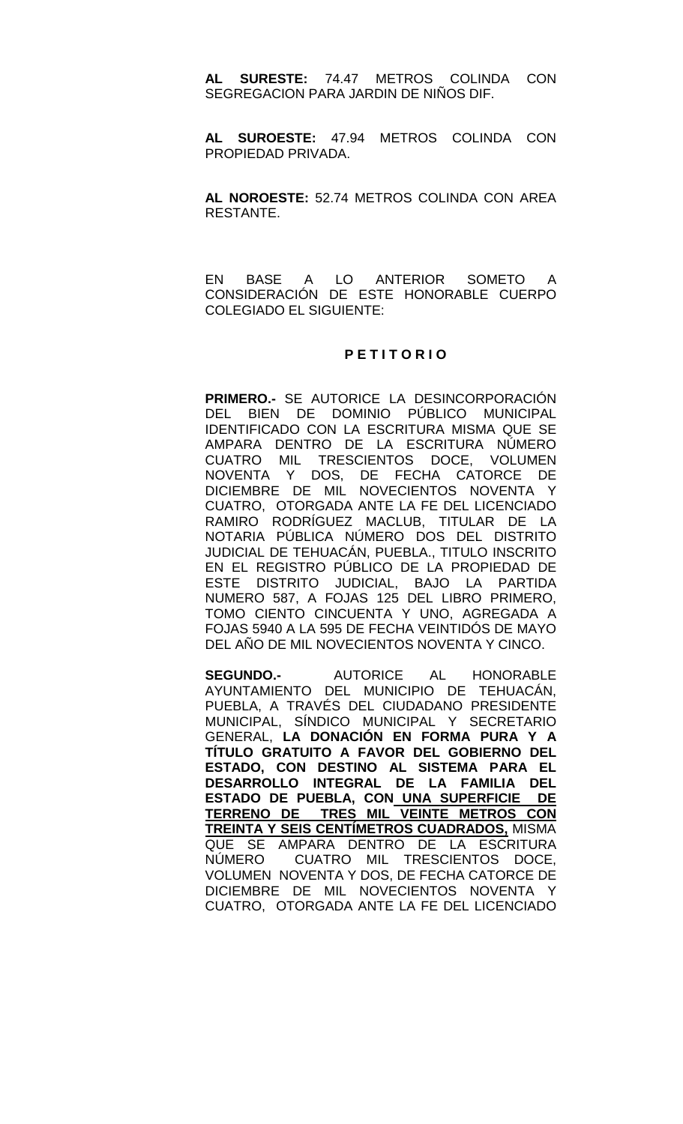**AL SURESTE:** 74.47 METROS COLINDA CON SEGREGACION PARA JARDIN DE NIÑOS DIF.

**AL SUROESTE:** 47.94 METROS COLINDA CON PROPIEDAD PRIVADA.

**AL NOROESTE:** 52.74 METROS COLINDA CON AREA RESTANTE.

EN BASE A LO ANTERIOR SOMETO A CONSIDERACIÓN DE ESTE HONORABLE CUERPO COLEGIADO EL SIGUIENTE:

### **P E T I T O R I O**

**PRIMERO.-** SE AUTORICE LA DESINCORPORACIÓN DEL BIEN DE DOMINIO PÚBLICO MUNICIPAL IDENTIFICADO CON LA ESCRITURA MISMA QUE SE AMPARA DENTRO DE LA ESCRITURA NÚMERO CUATRO MIL TRESCIENTOS DOCE, VOLUMEN NOVENTA Y DOS, DE FECHA CATORCE DE DICIEMBRE DE MIL NOVECIENTOS NOVENTA Y CUATRO, OTORGADA ANTE LA FE DEL LICENCIADO RAMIRO RODRÍGUEZ MACLUB, TITULAR DE LA NOTARIA PÚBLICA NÚMERO DOS DEL DISTRITO JUDICIAL DE TEHUACÁN, PUEBLA., TITULO INSCRITO EN EL REGISTRO PÚBLICO DE LA PROPIEDAD DE ESTE DISTRITO JUDICIAL, BAJO LA PARTIDA NUMERO 587, A FOJAS 125 DEL LIBRO PRIMERO, TOMO CIENTO CINCUENTA Y UNO, AGREGADA A FOJAS 5940 A LA 595 DE FECHA VEINTIDÓS DE MAYO DEL AÑO DE MIL NOVECIENTOS NOVENTA Y CINCO.

**SEGUNDO.-** AUTORICE AL HONORABLE AYUNTAMIENTO DEL MUNICIPIO DE TEHUACÁN, PUEBLA, A TRAVÉS DEL CIUDADANO PRESIDENTE MUNICIPAL, SÍNDICO MUNICIPAL Y SECRETARIO GENERAL, **LA DONACIÓN EN FORMA PURA Y A TÍTULO GRATUITO A FAVOR DEL GOBIERNO DEL ESTADO, CON DESTINO AL SISTEMA PARA EL DESARROLLO INTEGRAL DE LA FAMILIA DEL ESTADO DE PUEBLA, CON UNA SUPERFICIE DE TERRENO DE TRES MIL VEINTE METROS CON TREINTA Y SEIS CENTÍMETROS CUADRADOS,** MISMA QUE SE AMPARA DENTRO DE LA ESCRITURA NÚMERO CUATRO MIL TRESCIENTOS DOCE, VOLUMEN NOVENTA Y DOS, DE FECHA CATORCE DE DICIEMBRE DE MIL NOVECIENTOS NOVENTA Y CUATRO, OTORGADA ANTE LA FE DEL LICENCIADO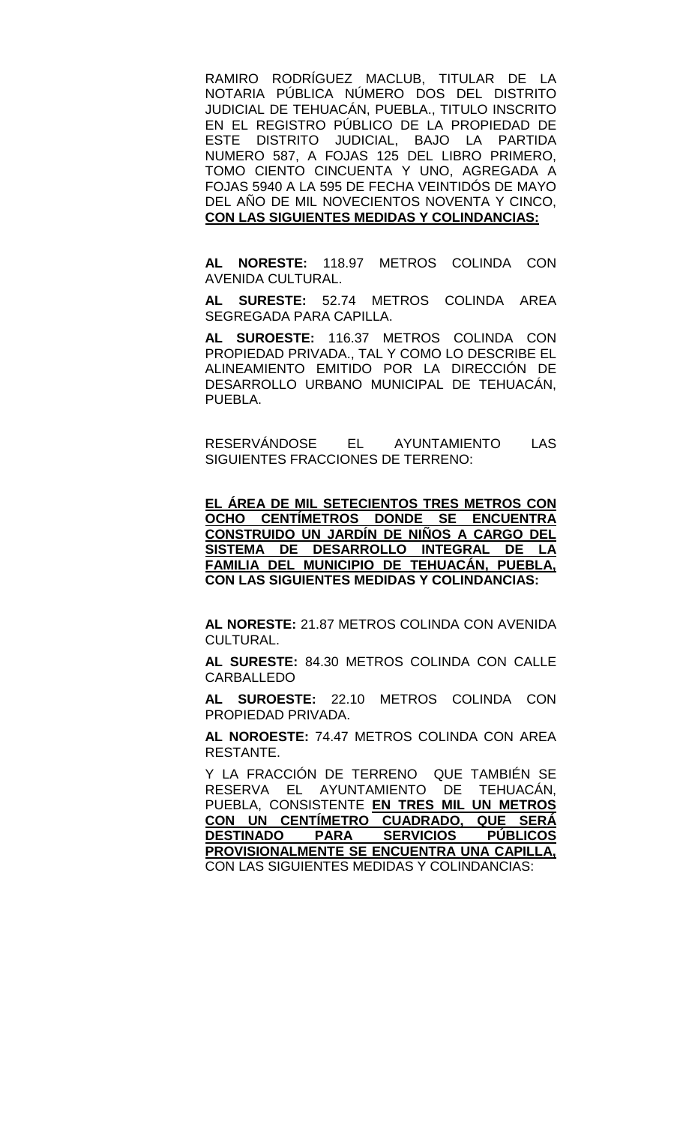RAMIRO RODRÍGUEZ MACLUB, TITULAR DE LA NOTARIA PÚBLICA NÚMERO DOS DEL DISTRITO JUDICIAL DE TEHUACÁN, PUEBLA., TITULO INSCRITO EN EL REGISTRO PÚBLICO DE LA PROPIEDAD DE ESTE DISTRITO JUDICIAL, BAJO LA PARTIDA NUMERO 587, A FOJAS 125 DEL LIBRO PRIMERO, TOMO CIENTO CINCUENTA Y UNO, AGREGADA A FOJAS 5940 A LA 595 DE FECHA VEINTIDÓS DE MAYO DEL AÑO DE MIL NOVECIENTOS NOVENTA Y CINCO, **CON LAS SIGUIENTES MEDIDAS Y COLINDANCIAS:**

**AL NORESTE:** 118.97 METROS COLINDA CON AVENIDA CULTURAL.

**AL SURESTE:** 52.74 METROS COLINDA AREA SEGREGADA PARA CAPILLA.

**AL SUROESTE:** 116.37 METROS COLINDA CON PROPIEDAD PRIVADA., TAL Y COMO LO DESCRIBE EL ALINEAMIENTO EMITIDO POR LA DIRECCIÓN DE DESARROLLO URBANO MUNICIPAL DE TEHUACÁN, PUEBLA.

RESERVÁNDOSE EL AYUNTAMIENTO LAS SIGUIENTES FRACCIONES DE TERRENO:

**EL ÁREA DE MIL SETECIENTOS TRES METROS CON OCHO CENTÍMETROS DONDE SE ENCUENTRA CONSTRUIDO UN JARDÍN DE NIÑOS A CARGO DEL SISTEMA DE DESARROLLO INTEGRAL DE LA FAMILIA DEL MUNICIPIO DE TEHUACÁN, PUEBLA, CON LAS SIGUIENTES MEDIDAS Y COLINDANCIAS:**

**AL NORESTE:** 21.87 METROS COLINDA CON AVENIDA CULTURAL.

**AL SURESTE:** 84.30 METROS COLINDA CON CALLE CARBALLEDO

**AL SUROESTE:** 22.10 METROS COLINDA CON PROPIEDAD PRIVADA.

**AL NOROESTE:** 74.47 METROS COLINDA CON AREA RESTANTE.

Y LA FRACCIÓN DE TERRENO QUE TAMBIÉN SE RESERVA EL AYUNTAMIENTO DE TEHUACÁN, PUEBLA, CONSISTENTE **EN TRES MIL UN METROS CON UN CENTÍMETRO CUADRADO, QUE SERÁ PARA SERVICIOS PÚBLICOS PROVISIONALMENTE SE ENCUENTRA UNA CAPILLA,** CON LAS SIGUIENTES MEDIDAS Y COLINDANCIAS: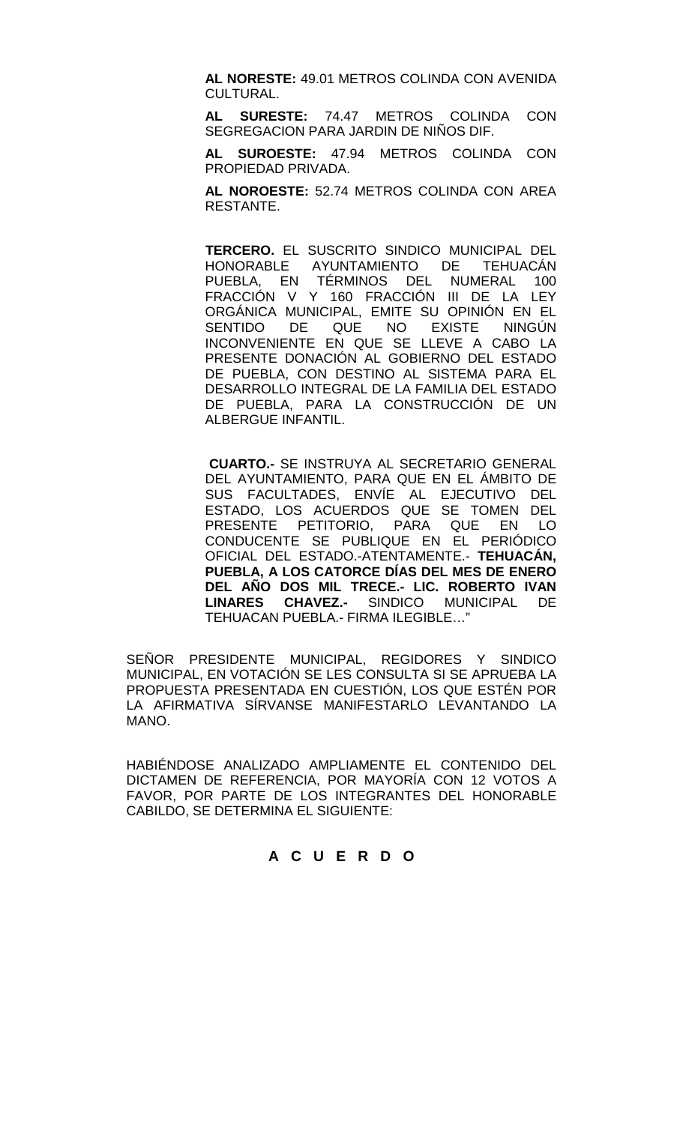**AL NORESTE:** 49.01 METROS COLINDA CON AVENIDA CULTURAL.

**AL SURESTE:** 74.47 METROS COLINDA CON SEGREGACION PARA JARDIN DE NIÑOS DIF.

**AL SUROESTE:** 47.94 METROS COLINDA CON PROPIEDAD PRIVADA.

**AL NOROESTE:** 52.74 METROS COLINDA CON AREA RESTANTE.

**TERCERO.** EL SUSCRITO SINDICO MUNICIPAL DEL HONORABLE AYUNTAMIENTO DE PUEBLA, EN TÉRMINOS DEL NUMERAL 100 FRACCIÓN V Y 160 FRACCIÓN III DE LA LEY ORGÁNICA MUNICIPAL, EMITE SU OPINIÓN EN EL<br>SENTIDO DE QUE NO EXISTE NINGÚN SENTIDO DE QUE NO INCONVENIENTE EN QUE SE LLEVE A CABO LA PRESENTE DONACIÓN AL GOBIERNO DEL ESTADO DE PUEBLA, CON DESTINO AL SISTEMA PARA EL DESARROLLO INTEGRAL DE LA FAMILIA DEL ESTADO DE PUEBLA, PARA LA CONSTRUCCIÓN DE UN ALBERGUE INFANTIL.

**CUARTO.-** SE INSTRUYA AL SECRETARIO GENERAL DEL AYUNTAMIENTO, PARA QUE EN EL ÁMBITO DE SUS FACULTADES, ENVÍE AL EJECUTIVO DEL ESTADO, LOS ACUERDOS QUE SE TOMEN DEL PRESENTE PETITORIO, PARA QUE EN LO CONDUCENTE SE PUBLIQUE EN EL PERIÓDICO OFICIAL DEL ESTADO.-ATENTAMENTE.- **TEHUACÁN, PUEBLA, A LOS CATORCE DÍAS DEL MES DE ENERO DEL AÑO DOS MIL TRECE.- LIC. ROBERTO IVAN LINARES CHAVEZ.-** SINDICO MUNICIPAL DE TEHUACAN PUEBLA.- FIRMA ILEGIBLE…"

SEÑOR PRESIDENTE MUNICIPAL, REGIDORES Y SINDICO MUNICIPAL, EN VOTACIÓN SE LES CONSULTA SI SE APRUEBA LA PROPUESTA PRESENTADA EN CUESTIÓN, LOS QUE ESTÉN POR LA AFIRMATIVA SÍRVANSE MANIFESTARLO LEVANTANDO LA MANO.

HABIÉNDOSE ANALIZADO AMPLIAMENTE EL CONTENIDO DEL DICTAMEN DE REFERENCIA, POR MAYORÍA CON 12 VOTOS A FAVOR, POR PARTE DE LOS INTEGRANTES DEL HONORABLE CABILDO, SE DETERMINA EL SIGUIENTE:

# **A C U E R D O**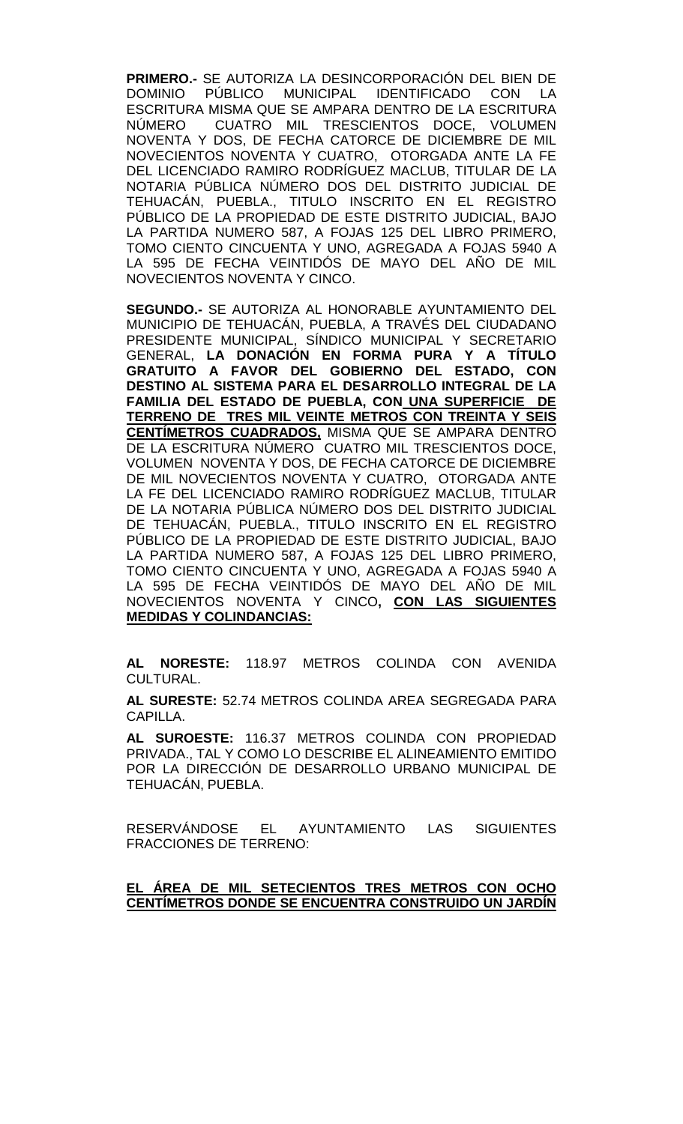**PRIMERO.-** SE AUTORIZA LA DESINCORPORACIÓN DEL BIEN DE **IDENTIFICADO** ESCRITURA MISMA QUE SE AMPARA DENTRO DE LA ESCRITURA NÚMERO CUATRO MIL TRESCIENTOS DOCE, VOLUMEN NOVENTA Y DOS, DE FECHA CATORCE DE DICIEMBRE DE MIL NOVECIENTOS NOVENTA Y CUATRO, OTORGADA ANTE LA FE DEL LICENCIADO RAMIRO RODRÍGUEZ MACLUB, TITULAR DE LA NOTARIA PÚBLICA NÚMERO DOS DEL DISTRITO JUDICIAL DE TEHUACÁN, PUEBLA., TITULO INSCRITO EN EL REGISTRO PÚBLICO DE LA PROPIEDAD DE ESTE DISTRITO JUDICIAL, BAJO LA PARTIDA NUMERO 587, A FOJAS 125 DEL LIBRO PRIMERO, TOMO CIENTO CINCUENTA Y UNO, AGREGADA A FOJAS 5940 A LA 595 DE FECHA VEINTIDÓS DE MAYO DEL AÑO DE MIL NOVECIENTOS NOVENTA Y CINCO.

**SEGUNDO.-** SE AUTORIZA AL HONORABLE AYUNTAMIENTO DEL MUNICIPIO DE TEHUACÁN, PUEBLA, A TRAVÉS DEL CIUDADANO PRESIDENTE MUNICIPAL, SÍNDICO MUNICIPAL Y SECRETARIO GENERAL, **LA DONACIÓN EN FORMA PURA Y A TÍTULO GRATUITO A FAVOR DEL GOBIERNO DEL ESTADO, CON DESTINO AL SISTEMA PARA EL DESARROLLO INTEGRAL DE LA FAMILIA DEL ESTADO DE PUEBLA, CON UNA SUPERFICIE DE TERRENO DE TRES MIL VEINTE METROS CON TREINTA Y SEIS CENTÍMETROS CUADRADOS,** MISMA QUE SE AMPARA DENTRO DE LA ESCRITURA NÚMERO CUATRO MIL TRESCIENTOS DOCE, VOLUMEN NOVENTA Y DOS, DE FECHA CATORCE DE DICIEMBRE DE MIL NOVECIENTOS NOVENTA Y CUATRO, OTORGADA ANTE LA FE DEL LICENCIADO RAMIRO RODRÍGUEZ MACLUB, TITULAR DE LA NOTARIA PÚBLICA NÚMERO DOS DEL DISTRITO JUDICIAL DE TEHUACÁN, PUEBLA., TITULO INSCRITO EN EL REGISTRO PÚBLICO DE LA PROPIEDAD DE ESTE DISTRITO JUDICIAL, BAJO LA PARTIDA NUMERO 587, A FOJAS 125 DEL LIBRO PRIMERO, TOMO CIENTO CINCUENTA Y UNO, AGREGADA A FOJAS 5940 A LA 595 DE FECHA VEINTIDÓS DE MAYO DEL AÑO DE MIL NOVECIENTOS NOVENTA Y CINCO**, CON LAS SIGUIENTES MEDIDAS Y COLINDANCIAS:**

**AL NORESTE:** 118.97 METROS COLINDA CON AVENIDA CULTURAL.

**AL SURESTE:** 52.74 METROS COLINDA AREA SEGREGADA PARA CAPILLA.

**AL SUROESTE:** 116.37 METROS COLINDA CON PROPIEDAD PRIVADA., TAL Y COMO LO DESCRIBE EL ALINEAMIENTO EMITIDO POR LA DIRECCIÓN DE DESARROLLO URBANO MUNICIPAL DE TEHUACÁN, PUEBLA.

RESERVÁNDOSE EL AYUNTAMIENTO LAS SIGUIENTES FRACCIONES DE TERRENO:

## **EL ÁREA DE MIL SETECIENTOS TRES METROS CON OCHO CENTÍMETROS DONDE SE ENCUENTRA CONSTRUIDO UN JARDÍN**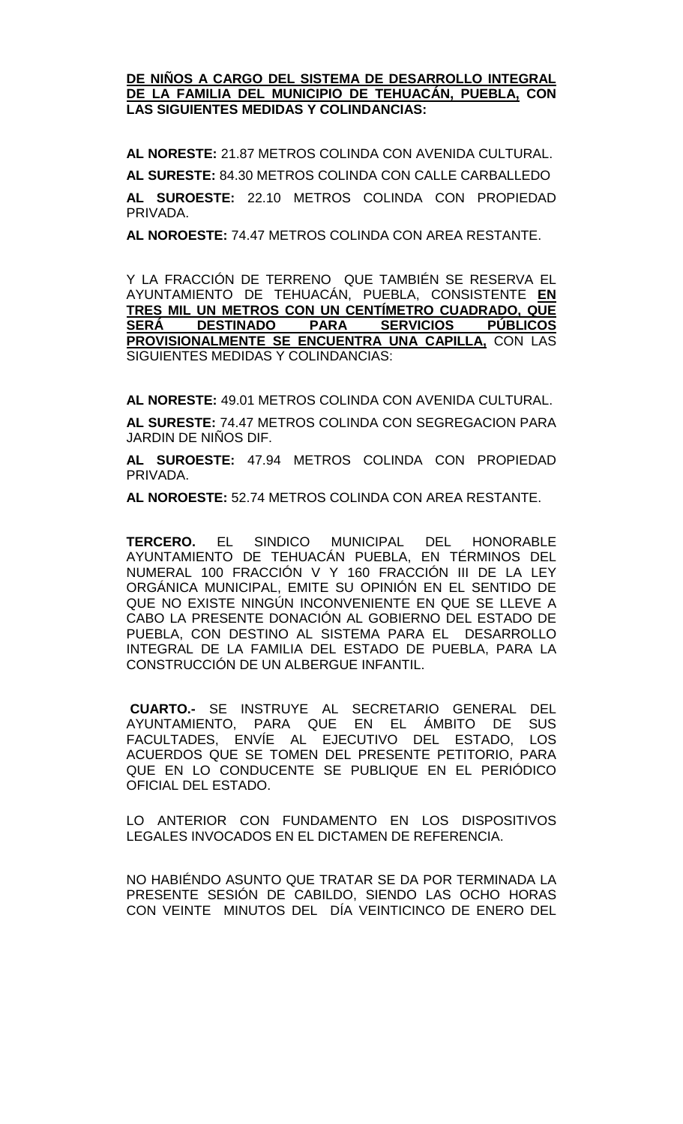### **DE NIÑOS A CARGO DEL SISTEMA DE DESARROLLO INTEGRAL DE LA FAMILIA DEL MUNICIPIO DE TEHUACÁN, PUEBLA, CON LAS SIGUIENTES MEDIDAS Y COLINDANCIAS:**

**AL NORESTE:** 21.87 METROS COLINDA CON AVENIDA CULTURAL. **AL SURESTE:** 84.30 METROS COLINDA CON CALLE CARBALLEDO **AL SUROESTE:** 22.10 METROS COLINDA CON PROPIEDAD PRIVADA.

**AL NOROESTE:** 74.47 METROS COLINDA CON AREA RESTANTE.

Y LA FRACCIÓN DE TERRENO QUE TAMBIÉN SE RESERVA EL AYUNTAMIENTO DE TEHUACÁN, PUEBLA, CONSISTENTE **EN TRES MIL UN METROS CON UN CENTÍMETRO CUADRADO, QUE PARA SERVICIOS PÚBLICOS PROVISIONALMENTE SE ENCUENTRA UNA CAPILLA,** CON LAS SIGUIENTES MEDIDAS Y COLINDANCIAS:

**AL NORESTE:** 49.01 METROS COLINDA CON AVENIDA CULTURAL.

**AL SURESTE:** 74.47 METROS COLINDA CON SEGREGACION PARA JARDIN DE NIÑOS DIF.

**AL SUROESTE:** 47.94 METROS COLINDA CON PROPIEDAD PRIVADA.

**AL NOROESTE:** 52.74 METROS COLINDA CON AREA RESTANTE.

**TERCERO.** EL SINDICO MUNICIPAL DEL HONORABLE AYUNTAMIENTO DE TEHUACÁN PUEBLA, EN TÉRMINOS DEL NUMERAL 100 FRACCIÓN V Y 160 FRACCIÓN III DE LA LEY ORGÁNICA MUNICIPAL, EMITE SU OPINIÓN EN EL SENTIDO DE QUE NO EXISTE NINGÚN INCONVENIENTE EN QUE SE LLEVE A CABO LA PRESENTE DONACIÓN AL GOBIERNO DEL ESTADO DE PUEBLA, CON DESTINO AL SISTEMA PARA EL DESARROLLO INTEGRAL DE LA FAMILIA DEL ESTADO DE PUEBLA, PARA LA CONSTRUCCIÓN DE UN ALBERGUE INFANTIL.

**CUARTO.-** SE INSTRUYE AL SECRETARIO GENERAL DEL AYUNTAMIENTO, PARA QUE EN EL ÁMBITO DE SUS FACULTADES, ENVÍE AL EJECUTIVO DEL ESTADO, LOS ACUERDOS QUE SE TOMEN DEL PRESENTE PETITORIO, PARA QUE EN LO CONDUCENTE SE PUBLIQUE EN EL PERIÓDICO OFICIAL DEL ESTADO.

LO ANTERIOR CON FUNDAMENTO EN LOS DISPOSITIVOS LEGALES INVOCADOS EN EL DICTAMEN DE REFERENCIA.

NO HABIÉNDO ASUNTO QUE TRATAR SE DA POR TERMINADA LA PRESENTE SESIÓN DE CABILDO, SIENDO LAS OCHO HORAS CON VEINTE MINUTOS DEL DÍA VEINTICINCO DE ENERO DEL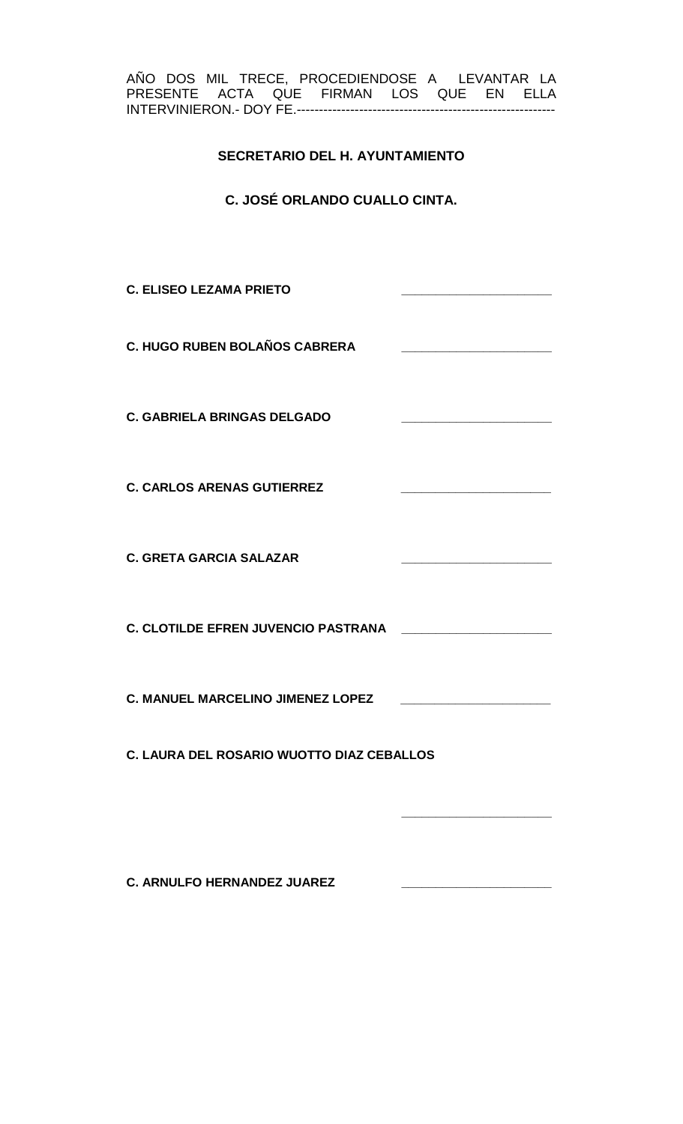AÑO DOS MIL TRECE, PROCEDIENDOSE A LEVANTAR LA PRESENTE ACTA QUE FIRMAN LOS QUE EN ELLA INTERVINIERON.- DOY FE.----------------------------------------------------------

# **SECRETARIO DEL H. AYUNTAMIENTO**

**C. JOSÉ ORLANDO CUALLO CINTA.**

**C. ELISEO LEZAMA PRIETO \_\_\_\_\_\_\_\_\_\_\_\_\_\_\_\_\_\_\_\_\_\_ C. HUGO RUBEN BOLAÑOS CABRERA \_\_\_\_\_\_\_\_\_\_\_\_\_\_\_\_\_\_\_\_\_\_ C. GABRIELA BRINGAS DELGADO \_\_\_\_\_\_\_\_\_\_\_\_\_\_\_\_\_\_\_\_\_\_ C. CARLOS ARENAS GUTIERREZ \_\_\_\_\_\_\_\_\_\_\_\_\_\_\_\_\_\_\_\_\_\_ C. GRETA GARCIA SALAZAR \_\_\_\_\_\_\_\_\_\_\_\_\_\_\_\_\_\_\_\_\_\_ C. CLOTILDE EFREN JUVENCIO PASTRANA \_\_ C. MANUEL MARCELINO JIMENEZ LOPEZ \_\_\_\_\_\_\_\_\_\_\_\_\_\_\_\_\_\_\_\_\_\_ C. LAURA DEL ROSARIO WUOTTO DIAZ CEBALLOS \_\_\_\_\_\_\_\_\_\_\_\_\_\_\_\_\_\_\_\_\_\_**

**C. ARNULFO HERNANDEZ JUAREZ \_\_\_\_\_\_\_\_\_\_\_\_\_\_\_\_\_\_\_\_\_\_**